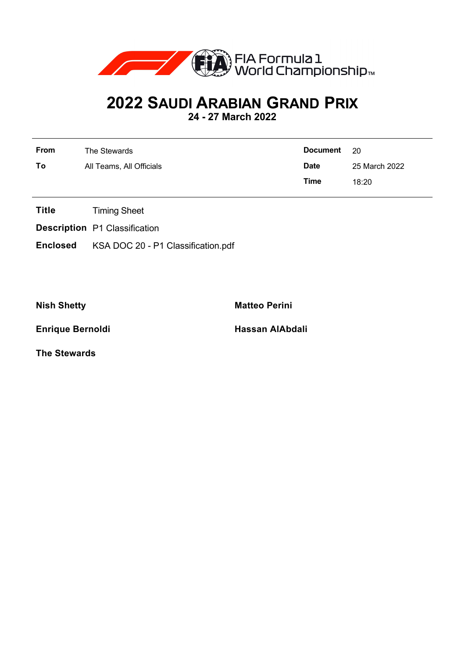

## **2022 SAUDI ARABIAN GRAND PRIX**

**24 - 27 March 2022**

| <b>From</b> | The Stewards             | <b>Document</b> | - 20          |
|-------------|--------------------------|-----------------|---------------|
| To          | All Teams, All Officials | <b>Date</b>     | 25 March 2022 |
|             |                          | Time            | 18:20         |

- **Title** Timing Sheet
- **Description** P1 Classification
- **Enclosed** KSA DOC 20 P1 Classification.pdf

**Enrique Bernoldi Hassan AlAbdali** 

**Nish Shetty Matteo Perini** 

**The Stewards**